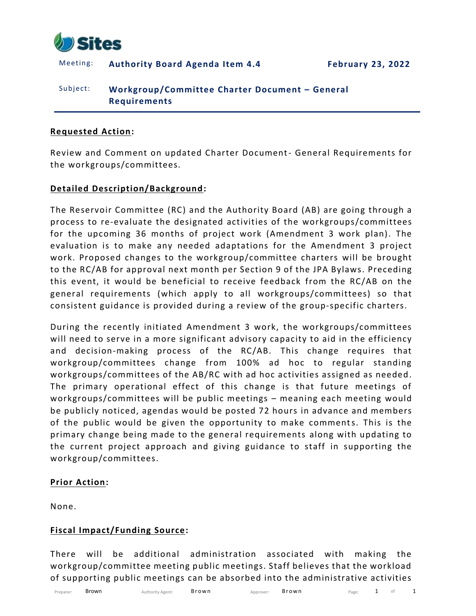

Meeting: **Authority Board Agenda Item 4.4 February 23, 2022**

# Subject: **Workgroup/Committee Charter Document – General Requirements**

#### **Requested Action:**

Review and Comment on updated Charter Document- General Requirements for the workgroups/committees.

### **Detailed Description/Background:**

The Reservoir Committee (RC) and the Authority Board (AB) are going through a process to re-evaluate the designated activities of the workgroups/committees for the upcoming 36 months of project work (Amendment 3 work plan). The evaluation is to make any needed adaptations for the Amendment 3 project work. Proposed changes to the workgroup/committee charters will be brought to the RC/AB for approval next month per Section 9 of the JPA Bylaws. Preceding this event, it would be beneficial to receive feedback from the RC/AB on the general requirements (which apply to all workgroups/committees) so that consistent guidance is provided during a review of the group-specific charters.

During the recently initiated Amendment 3 work, the workgroups/committees will need to serve in a more significant advisory capacity to aid in the efficiency and decision-making process of the RC/AB. This change requires that workgroup/committees change from 100% ad hoc to regular standing workgroups/committees of the AB/RC with ad hoc activities assigned as needed. The primary operational effect of this change is that future meetings of workgroups/committees will be public meetings – meaning each meeting would be publicly noticed, agendas would be posted 72 hours in advance and members of the public would be given the opportunity to make comments. This is the primary change being made to the general requirements along with updating to the current project approach and giving guidance to staff in supporting the workgroup/committees.

#### **Prior Action:**

None.

#### **Fiscal Impact/Funding Source:**

There will be additional administration associated with making the workgroup/committee meeting public meetings. Staff believes that the workload of supporting public meetings can be absorbed into the administrative activities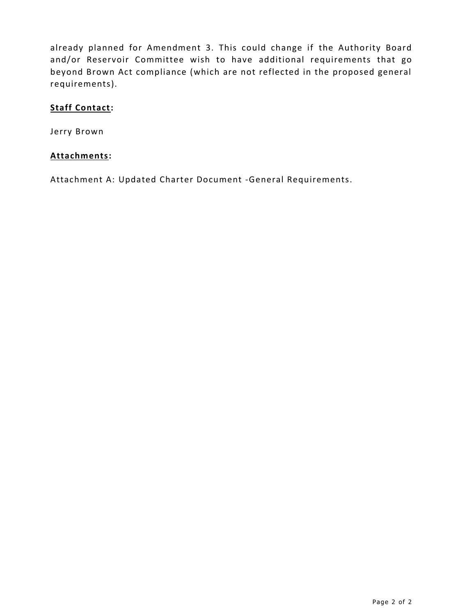already planned for Amendment 3. This could change if the Authority Board and/or Reservoir Committee wish to have additional requirements that go beyond Brown Act compliance (which are not reflected in the proposed general requirements).

## **Staff Contact:**

Jerry Brown

## **Attachments:**

Attachment A: Updated Charter Document -General Requirements.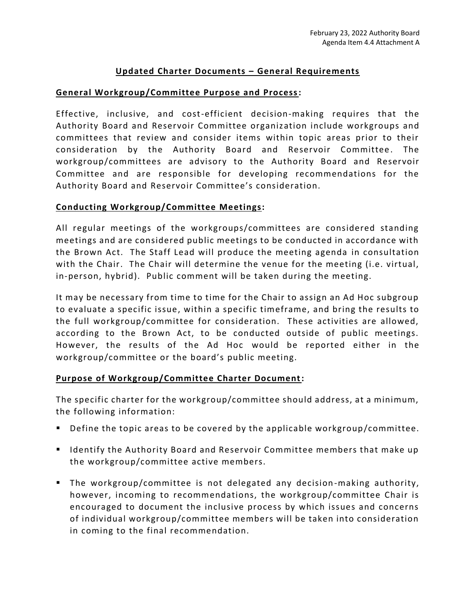# **Updated Charter Documents – General Requirements**

### **General Workgroup/Committee Purpose and Process:**

Effective, inclusive, and cost-efficient decision-making requires that the Authority Board and Reservoir Committee organization include workgroups and committees that review and consider items within topic areas prior to their consideration by the Authority Board and Reservoir Committee. The workgroup/committees are advisory to the Authority Board and Reservoir Committee and are responsible for developing recommendations for the Authority Board and Reservoir Committee's consideration.

### **Conducting Workgroup/Committee Meetings:**

All regular meetings of the workgroups/committees are considered standing meetings and are considered public meetings to be conducted in accordance with the Brown Act. The Staff Lead will produce the meeting agenda in consultation with the Chair. The Chair will determine the venue for the meeting (i.e. virtual, in-person, hybrid). Public comment will be taken during the meeting.

It may be necessary from time to time for the Chair to assign an Ad Hoc subgroup to evaluate a specific issue, within a specific timeframe, and bring the results to the full workgroup/committee for consideration. These activities are allowed, according to the Brown Act, to be conducted outside of public meetings. However, the results of the Ad Hoc would be reported either in the workgroup/committee or the board's public meeting.

## **Purpose of Workgroup/Committee Charter Document:**

The specific charter for the workgroup/committee should address, at a minimum, the following information:

- Define the topic areas to be covered by the applicable workgroup/committee.
- Identify the Authority Board and Reservoir Committee members that make up the workgroup/committee active members.
- The workgroup/committee is not delegated any decision -making authority, however, incoming to recommendations, the workgroup/committee Chair is encouraged to document the inclusive process by which issues and concerns of individual workgroup/committee members will be taken into consideration in coming to the final recommendation.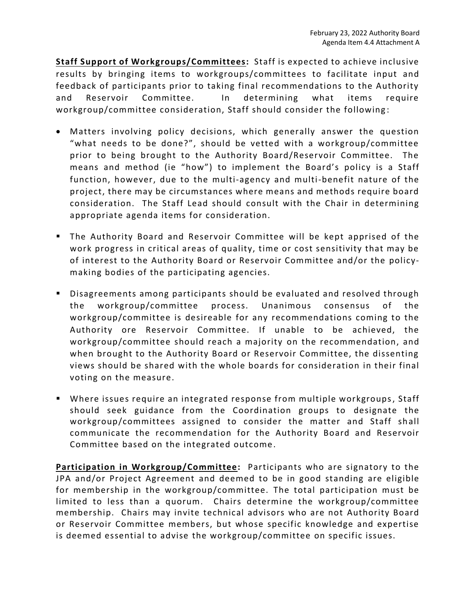**Staff Support of Workgroups/Committees:** Staff is expected to achieve inclusive results by bringing items to workgroups/committees to facilitate input and feedback of participants prior to taking final recommendations to the Authority and Reservoir Committee. In determining what items require workgroup/committee consideration, Staff should consider the following :

- Matters involving policy decisions, which generally answer the question "what needs to be done?", should be vetted with a workgroup/committee prior to being brought to the Authority Board/Reservoir Committee. The means and method (ie "how") to implement the Board's policy is a Staff function, however, due to the multi-agency and multi-benefit nature of the project, there may be circumstances where means and methods require board consideration. The Staff Lead should consult with the Chair in determining appropriate agenda items for consideration.
- The Authority Board and Reservoir Committee will be kept apprised of the work progress in critical areas of quality, time or cost sensitivity that may be of interest to the Authority Board or Reservoir Committee and/or the policymaking bodies of the participating agencies.
- Disagreements among participants should be evaluated and resolved through the workgroup/committee process. Unanimous consensus of the workgroup/committee is desireable for any recommendations coming to the Authority ore Reservoir Committee. If unable to be achieved, the workgroup/committee should reach a majority on the recommendation, and when brought to the Authority Board or Reservoir Committee, the dissenting views should be shared with the whole boards for consideration in their final voting on the measure.
- Where issues require an integrated response from multiple workgroups, Staff should seek guidance from the Coordination groups to designate the workgroup/committees assigned to consider the matter and Staff shall communicate the recommendation for the Authority Board and Reservoir Committee based on the integrated outcome.

**Participation in Workgroup/Committee:** Participants who are signatory to the JPA and/or Project Agreement and deemed to be in good standing are eligible for membership in the workgroup/committee. The total participation must be limited to less than a quorum. Chairs determine the workgroup/committee membership. Chairs may invite technical advisors who are not Authority Board or Reservoir Committee members, but whose specific knowledge and expertise is deemed essential to advise the workgroup/committee on specific issues.